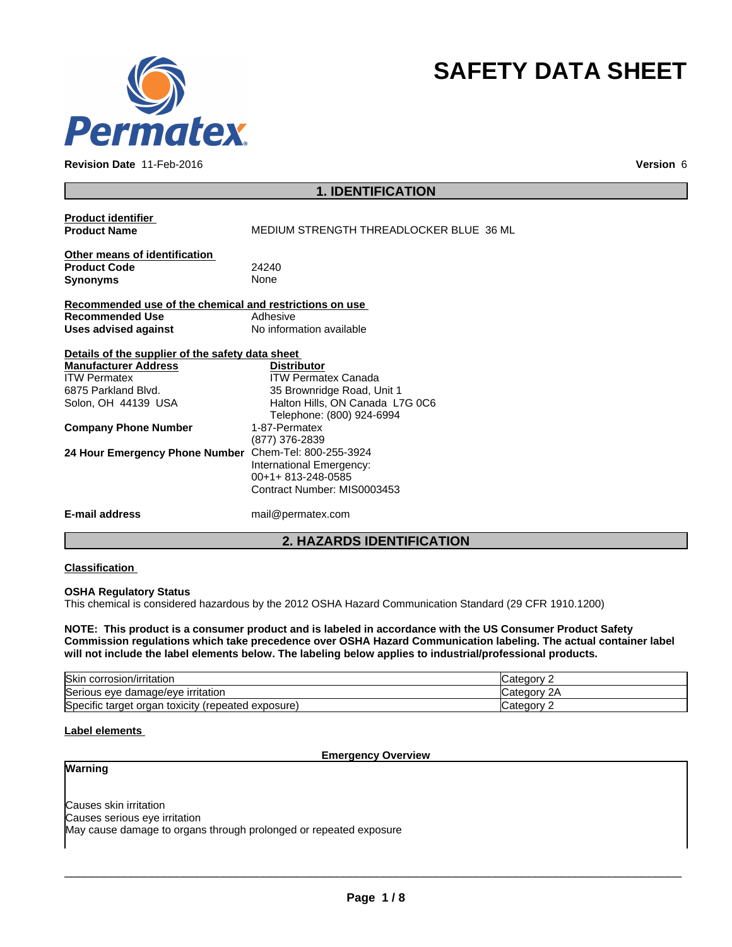

**Revision Date** 11-Feb-2016 **Version** 6

# **SAFETY DATA SHEET**

# **1. IDENTIFICATION**

| <b>Product identifier</b><br><b>Product Name</b>        | MEDIUM STRENGTH THREADLOCKER BLUE 36 ML |
|---------------------------------------------------------|-----------------------------------------|
| Other means of identification                           |                                         |
| <b>Product Code</b>                                     | 24240                                   |
| <b>Synonyms</b>                                         | None                                    |
| Recommended use of the chemical and restrictions on use |                                         |
| <b>Recommended Use</b>                                  | Adhesive                                |
| <b>Uses advised against</b>                             | No information available                |
| Details of the supplier of the safety data sheet        |                                         |
| <b>Manufacturer Address</b>                             | <b>Distributor</b>                      |
| <b>ITW Permatex</b>                                     | <b>ITW Permatex Canada</b>              |
| 6875 Parkland Blvd.                                     | 35 Brownridge Road, Unit 1              |
| Solon, OH 44139 USA                                     | Halton Hills, ON Canada L7G 0C6         |
|                                                         | Telephone: (800) 924-6994               |
| <b>Company Phone Number</b>                             | 1-87-Permatex                           |
|                                                         | (877) 376-2839                          |
| 24 Hour Emergency Phone Number                          | Chem-Tel: 800-255-3924                  |
|                                                         | International Emergency:                |
|                                                         | 00+1+813-248-0585                       |
|                                                         | Contract Number: MIS0003453             |
| E-mail address                                          | mail@permatex.com                       |

# **2. HAZARDS IDENTIFICATION**

## **Classification**

## **OSHA Regulatory Status**

This chemical is considered hazardous by the 2012 OSHA Hazard Communication Standard (29 CFR 1910.1200)

NOTE: This product is a consumer product and is labeled in accordance with the US Consumer Product Safety **Commission regulations which take precedence over OSHA Hazard Communication labeling. The actual container label will not include the label elements below. The labeling below applies to industrial/professional products.**

| <b>Skin</b><br>⊦corrosion/irritation                       | ' batedory۔ |
|------------------------------------------------------------|-------------|
| Serious eye damage/eye irritation                          | Jategory "  |
| Specific target organ<br>(repeated exposure)<br>، toxicity | 'ategorب    |

## **Label elements**

#### **Emergency Overview**

# **Warning**

Causes skin irritation Causes serious eye irritation May cause damage to organs through prolonged or repeated exposure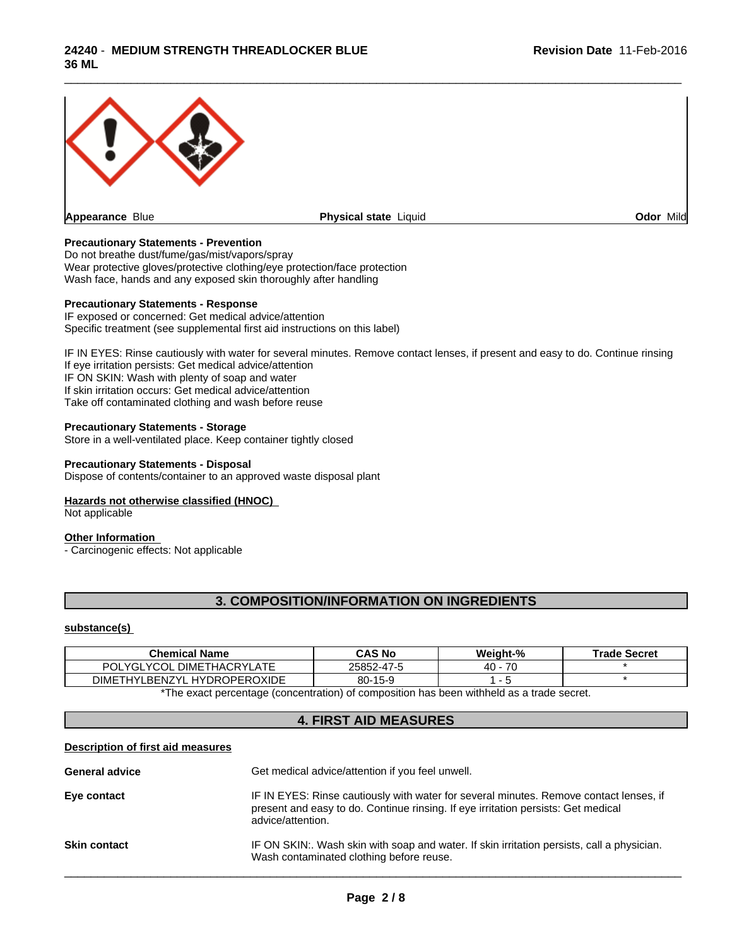

## **Precautionary Statements - Prevention**

Do not breathe dust/fume/gas/mist/vapors/spray Wear protective gloves/protective clothing/eye protection/face protection Wash face, hands and any exposed skin thoroughly after handling

## **Precautionary Statements - Response**

IF exposed or concerned: Get medical advice/attention Specific treatment (see supplemental first aid instructions on this label)

IF IN EYES: Rinse cautiously with water for several minutes. Remove contact lenses, if present and easy to do. Continue rinsing If eye irritation persists: Get medical advice/attention IF ON SKIN: Wash with plenty of soap and water If skin irritation occurs: Get medical advice/attention Take off contaminated clothing and wash before reuse

## **Precautionary Statements - Storage**

Store in a well-ventilated place. Keep container tightly closed

#### **Precautionary Statements - Disposal**

Dispose of contents/container to an approved waste disposal plant

#### **Hazards not otherwise classified (HNOC)**

Not applicable

## **Other Information**

- Carcinogenic effects: Not applicable

# **3. COMPOSITION/INFORMATION ON INGREDIENTS**

#### **substance(s)**

| CAS No     | Weight-% | <b>Trade Secret</b> |
|------------|----------|---------------------|
| 25852-47-5 | 70<br>40 |                     |
| 80-15-9    |          |                     |
|            |          |                     |

\*The exact percentage (concentration) of composition has been withheld as a trade secret.

# **4. FIRST AID MEASURES**

#### **Description of first aid measures**

| <b>General advice</b> | Get medical advice/attention if you feel unwell.                                                                                                                                                 |
|-----------------------|--------------------------------------------------------------------------------------------------------------------------------------------------------------------------------------------------|
| Eye contact           | IF IN EYES: Rinse cautiously with water for several minutes. Remove contact lenses, if<br>present and easy to do. Continue rinsing. If eye irritation persists: Get medical<br>advice/attention. |
| <b>Skin contact</b>   | IF ON SKIN:. Wash skin with soap and water. If skin irritation persists, call a physician.<br>Wash contaminated clothing before reuse.                                                           |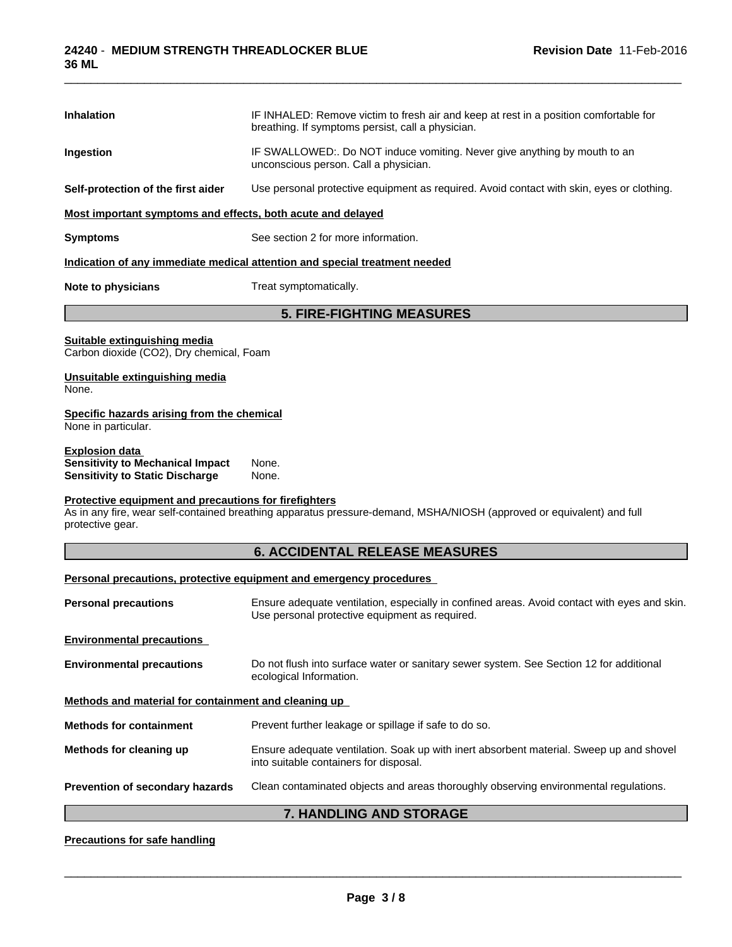| Inhalation                                                                                                          | IF INHALED: Remove victim to fresh air and keep at rest in a position comfortable for<br>breathing. If symptoms persist, call a physician.     |  |  |  |
|---------------------------------------------------------------------------------------------------------------------|------------------------------------------------------------------------------------------------------------------------------------------------|--|--|--|
| Ingestion                                                                                                           | IF SWALLOWED:. Do NOT induce vomiting. Never give anything by mouth to an<br>unconscious person. Call a physician.                             |  |  |  |
| Self-protection of the first aider                                                                                  | Use personal protective equipment as required. Avoid contact with skin, eyes or clothing.                                                      |  |  |  |
| Most important symptoms and effects, both acute and delayed                                                         |                                                                                                                                                |  |  |  |
| <b>Symptoms</b>                                                                                                     | See section 2 for more information.                                                                                                            |  |  |  |
|                                                                                                                     | Indication of any immediate medical attention and special treatment needed                                                                     |  |  |  |
| <b>Note to physicians</b>                                                                                           | Treat symptomatically.                                                                                                                         |  |  |  |
|                                                                                                                     | <b>5. FIRE-FIGHTING MEASURES</b>                                                                                                               |  |  |  |
| Suitable extinguishing media<br>Carbon dioxide (CO2), Dry chemical, Foam                                            |                                                                                                                                                |  |  |  |
| Unsuitable extinguishing media<br>None.                                                                             |                                                                                                                                                |  |  |  |
| Specific hazards arising from the chemical<br>None in particular.                                                   |                                                                                                                                                |  |  |  |
| <b>Explosion data</b><br><b>Sensitivity to Mechanical Impact</b>                                                    | None.<br>None.                                                                                                                                 |  |  |  |
|                                                                                                                     |                                                                                                                                                |  |  |  |
| <b>Sensitivity to Static Discharge</b><br>Protective equipment and precautions for firefighters<br>protective gear. | As in any fire, wear self-contained breathing apparatus pressure-demand, MSHA/NIOSH (approved or equivalent) and full                          |  |  |  |
|                                                                                                                     | <b>6. ACCIDENTAL RELEASE MEASURES</b>                                                                                                          |  |  |  |
|                                                                                                                     | Personal precautions, protective equipment and emergency procedures                                                                            |  |  |  |
| <b>Personal precautions</b>                                                                                         | Ensure adequate ventilation, especially in confined areas. Avoid contact with eyes and skin.<br>Use personal protective equipment as required. |  |  |  |
|                                                                                                                     |                                                                                                                                                |  |  |  |
| <b>Environmental precautions</b><br><b>Environmental precautions</b>                                                | Do not flush into surface water or sanitary sewer system. See Section 12 for additional<br>ecological Information.                             |  |  |  |
| Methods and material for containment and cleaning up                                                                |                                                                                                                                                |  |  |  |
| <b>Methods for containment</b>                                                                                      | Prevent further leakage or spillage if safe to do so.                                                                                          |  |  |  |
| Methods for cleaning up                                                                                             | Ensure adequate ventilation. Soak up with inert absorbent material. Sweep up and shovel<br>into suitable containers for disposal.              |  |  |  |
| Prevention of secondary hazards                                                                                     | Clean contaminated objects and areas thoroughly observing environmental regulations.                                                           |  |  |  |

# **Precautions for safe handling**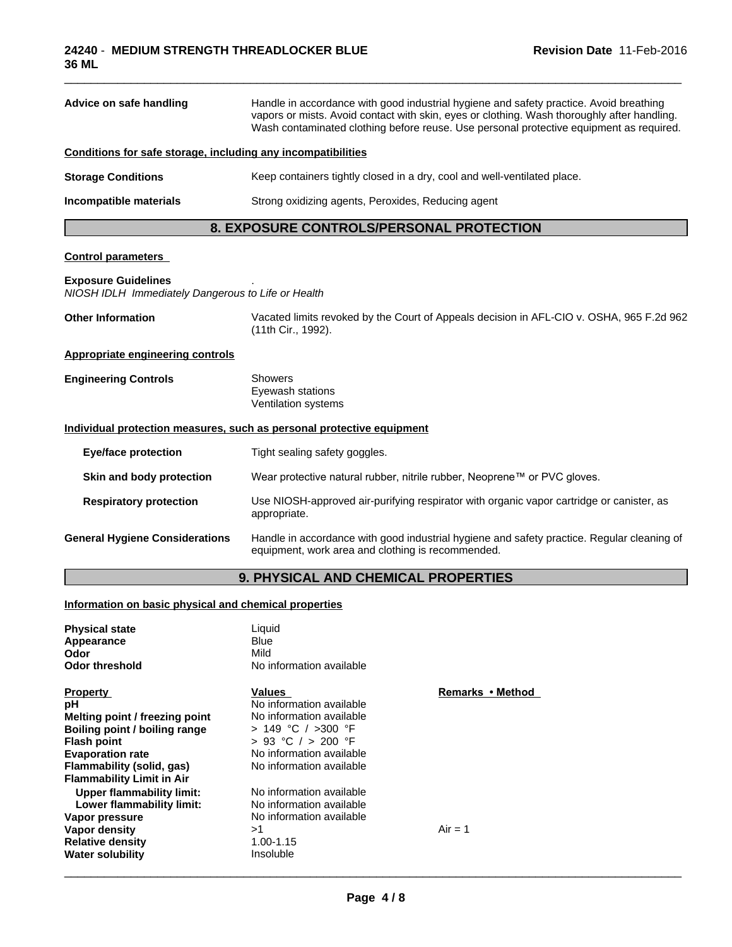| Advice on safe handling                                                          | Handle in accordance with good industrial hygiene and safety practice. Avoid breathing<br>vapors or mists. Avoid contact with skin, eyes or clothing. Wash thoroughly after handling.<br>Wash contaminated clothing before reuse. Use personal protective equipment as required. |  |  |
|----------------------------------------------------------------------------------|----------------------------------------------------------------------------------------------------------------------------------------------------------------------------------------------------------------------------------------------------------------------------------|--|--|
| Conditions for safe storage, including any incompatibilities                     |                                                                                                                                                                                                                                                                                  |  |  |
| <b>Storage Conditions</b>                                                        | Keep containers tightly closed in a dry, cool and well-ventilated place.                                                                                                                                                                                                         |  |  |
| Incompatible materials                                                           | Strong oxidizing agents, Peroxides, Reducing agent                                                                                                                                                                                                                               |  |  |
|                                                                                  | 8. EXPOSURE CONTROLS/PERSONAL PROTECTION                                                                                                                                                                                                                                         |  |  |
| <b>Control parameters</b>                                                        |                                                                                                                                                                                                                                                                                  |  |  |
| <b>Exposure Guidelines</b><br>NIOSH IDLH Immediately Dangerous to Life or Health |                                                                                                                                                                                                                                                                                  |  |  |
| <b>Other Information</b>                                                         | Vacated limits revoked by the Court of Appeals decision in AFL-CIO v. OSHA, 965 F.2d 962<br>(11th Cir., 1992).                                                                                                                                                                   |  |  |
| Appropriate engineering controls                                                 |                                                                                                                                                                                                                                                                                  |  |  |
| <b>Engineering Controls</b>                                                      | Showers<br>Eyewash stations<br>Ventilation systems                                                                                                                                                                                                                               |  |  |
|                                                                                  | Individual protection measures, such as personal protective equipment                                                                                                                                                                                                            |  |  |
| <b>Eye/face protection</b>                                                       | Tight sealing safety goggles.                                                                                                                                                                                                                                                    |  |  |
| Skin and body protection                                                         | Wear protective natural rubber, nitrile rubber, Neoprene™ or PVC gloves.                                                                                                                                                                                                         |  |  |
| <b>Respiratory protection</b>                                                    | Use NIOSH-approved air-purifying respirator with organic vapor cartridge or canister, as<br>appropriate.                                                                                                                                                                         |  |  |
| <b>General Hygiene Considerations</b>                                            | Handle in accordance with good industrial hygiene and safety practice. Regular cleaning of<br>equipment, work area and clothing is recommended.                                                                                                                                  |  |  |
|                                                                                  |                                                                                                                                                                                                                                                                                  |  |  |

# **9. PHYSICAL AND CHEMICAL PROPERTIES**

## **Information on basic physical and chemical properties**

| <b>Physical state</b><br>Appearance<br>Odor<br><b>Odor threshold</b>                                                                                                                                       | Liquid<br><b>Blue</b><br>Mild<br>No information available                                                                                                              |                  |  |
|------------------------------------------------------------------------------------------------------------------------------------------------------------------------------------------------------------|------------------------------------------------------------------------------------------------------------------------------------------------------------------------|------------------|--|
| <b>Property</b><br>рH<br>Melting point / freezing point<br>Boiling point / boiling range<br><b>Flash point</b><br><b>Evaporation rate</b><br>Flammability (solid, gas)<br><b>Flammability Limit in Air</b> | Values<br>No information available<br>No information available<br>> 149 °C / >300 °F<br>$> 93$ °C $/ > 200$ °F<br>No information available<br>No information available | Remarks • Method |  |
| Upper flammability limit:<br>Lower flammability limit:<br>Vapor pressure<br>Vapor density<br><b>Relative density</b><br><b>Water solubility</b>                                                            | No information available<br>No information available<br>No information available<br>>1<br>1.00-1.15<br><b>Insoluble</b>                                                | $Air = 1$        |  |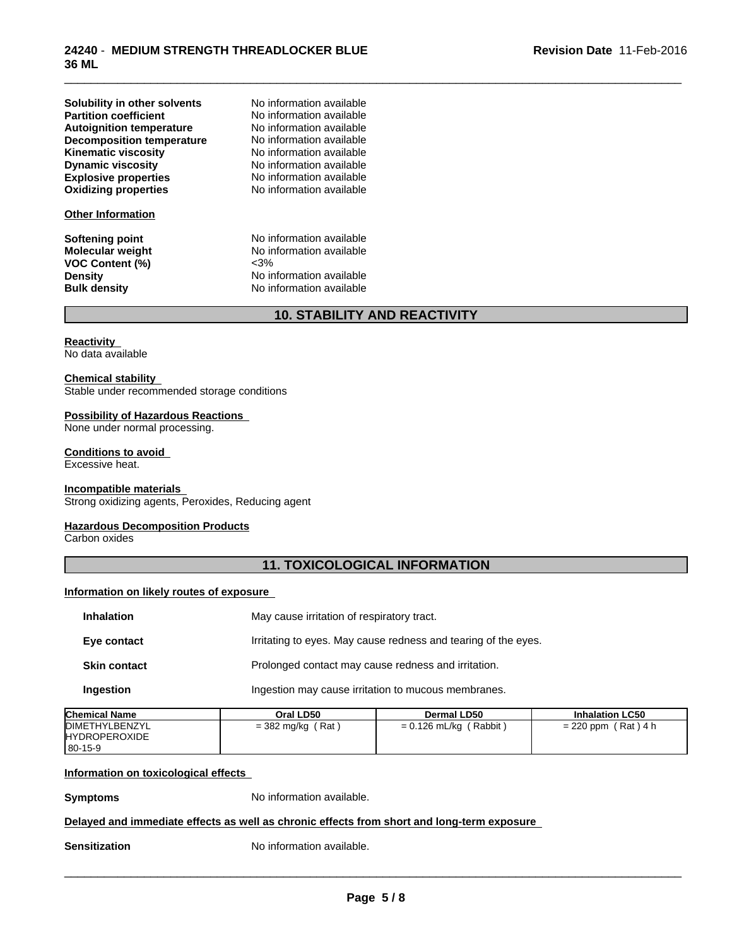| Solubility in other solvents     |
|----------------------------------|
| <b>Partition coefficient</b>     |
| <b>Autoignition temperature</b>  |
| <b>Decomposition temperature</b> |
| <b>Kinematic viscosity</b>       |
| <b>Dynamic viscosity</b>         |
| <b>Explosive properties</b>      |
| <b>Oxidizing properties</b>      |

#### **Other Information**

**VOC Content (%)**<br>Density

**Explosive properties** No information available **Oxidizing properties** No information available **No information available No information available No information available No information available Kinematic viscosity** No information available **Dynamic viscosity** No information available

**Softening point**<br> **Molecular weight**<br> **Molecular weight**<br> **Molecular weight**<br> **Molecular weight** No information available<br>  $\leq 3\%$ **Density Density** No information available<br> **Bulk density No information available No information available** 

# **10. STABILITY AND REACTIVITY**

\_\_\_\_\_\_\_\_\_\_\_\_\_\_\_\_\_\_\_\_\_\_\_\_\_\_\_\_\_\_\_\_\_\_\_\_\_\_\_\_\_\_\_\_\_\_\_\_\_\_\_\_\_\_\_\_\_\_\_\_\_\_\_\_\_\_\_\_\_\_\_\_\_\_\_\_\_\_\_\_\_\_\_\_\_\_\_\_\_\_\_\_\_

## **Reactivity**

No data available

#### **Chemical stability**

Stable under recommended storage conditions

## **Possibility of Hazardous Reactions**

None under normal processing.

## **Conditions to avoid**

Excessive heat.

#### **Incompatible materials**

Strong oxidizing agents, Peroxides, Reducing agent

## **Hazardous Decomposition Products**

Carbon oxides

# **11. TOXICOLOGICAL INFORMATION**

## **Information on likely routes of exposure**

| May cause irritation of respiratory tract.                     |
|----------------------------------------------------------------|
| Irritating to eyes. May cause redness and tearing of the eyes. |
| Prolonged contact may cause redness and irritation.            |
| Ingestion may cause irritation to mucous membranes.            |
|                                                                |

| <b>Chemical Name</b>   | Oral LD50                | <b>Dermal LD50</b>                        | <b>Inhalation LC50</b> |
|------------------------|--------------------------|-------------------------------------------|------------------------|
| <b>IDIMETHYLBENZYL</b> | ์ Rat .<br>= 382 mg/kg ( | $= 0.126$ mL/kg (<br>(Rabbit <sup>)</sup> | $= 220$ ppm (Rat) 4 h  |
| <b>HYDROPEROXIDE</b>   |                          |                                           |                        |
| $ 80-15-9$             |                          |                                           |                        |

## **Information on toxicological effects**

**Symptoms** No information available.

## **Delayed and immediate effects as well as chronic effects from short and long-term exposure**

**Sensitization** No information available.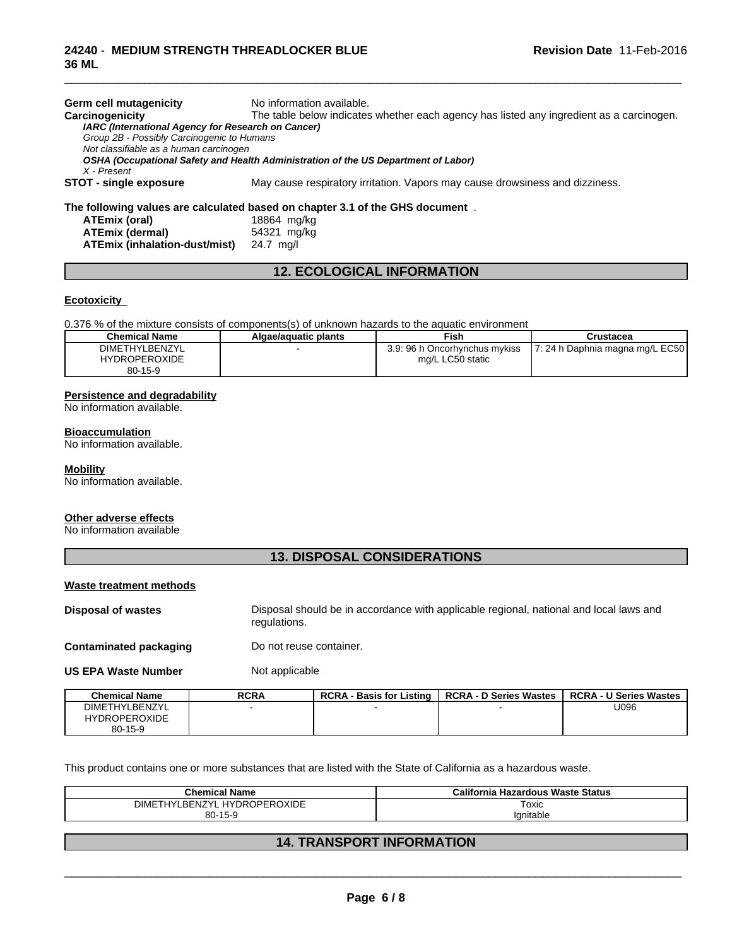| Germ cell mutagenicity                             | No information available.                                                                |
|----------------------------------------------------|------------------------------------------------------------------------------------------|
| Carcinogenicity                                    | The table below indicates whether each agency has listed any ingredient as a carcinogen. |
| IARC (International Agency for Research on Cancer) |                                                                                          |
| Group 2B - Possibly Carcinogenic to Humans         |                                                                                          |
| Not classifiable as a human carcinogen             |                                                                                          |
|                                                    | OSHA (Occupational Safety and Health Administration of the US Department of Labor)       |
| X - Present                                        |                                                                                          |
| STOT - single exposure                             | May cause respiratory irritation. Vapors may cause drowsiness and dizziness.             |
|                                                    | The following values are calculated based on chapter 3.1 of the GHS document.            |
| ATEmix (oral)                                      | 18864 mg/kg                                                                              |
| <b>ATEmix (dermal)</b>                             | 54321 mg/kg                                                                              |
| <b>ATEmix (inhalation-dust/mist)</b>               | 24.7 ma/l                                                                                |

\_\_\_\_\_\_\_\_\_\_\_\_\_\_\_\_\_\_\_\_\_\_\_\_\_\_\_\_\_\_\_\_\_\_\_\_\_\_\_\_\_\_\_\_\_\_\_\_\_\_\_\_\_\_\_\_\_\_\_\_\_\_\_\_\_\_\_\_\_\_\_\_\_\_\_\_\_\_\_\_\_\_\_\_\_\_\_\_\_\_\_\_\_

# **12. ECOLOGICAL INFORMATION**

## **Ecotoxicity**

0.376 % of the mixture consists of components(s) of unknown hazards to the aquatic environment

| <b>Chemical Name</b> | Algae/aguatic plants | Fish                          | Crustacea                         |
|----------------------|----------------------|-------------------------------|-----------------------------------|
| DIMETHYLBENZYL       |                      | 3.9: 96 h Oncorhynchus mykiss | 17: 24 h Daphnia magna mg/L EC501 |
| <b>HYDROPEROXIDE</b> |                      | mg/L LC50 static              |                                   |
| $80 - 15 - 9$        |                      |                               |                                   |

#### **Persistence and degradability**

No information available.

#### **Bioaccumulation**

No information available.

#### **Mobility**

No information available.

#### **Other adverse effects**

No information available

# **13. DISPOSAL CONSIDERATIONS**

## **Waste treatment methods**

**Disposal of wastes** Disposal should be in accordance with applicable regional, national and local laws and regulations.

**Contaminated packaging Do not reuse container.** 

**US EPA Waste Number** Not applicable

| <b>Chemical Name</b>  | <b>RCRA</b> | <b>RCRA - Basis for Listing</b> | <b>RCRA - D Series Wastes</b> | <b>RCRA - U Series Wastes</b> |
|-----------------------|-------------|---------------------------------|-------------------------------|-------------------------------|
| <b>DIMETHYLBENZYL</b> |             |                                 |                               | U096                          |
| <b>HYDROPEROXIDE</b>  |             |                                 |                               |                               |
| $80 - 15 - 9$         |             |                                 |                               |                               |

This product contains one or more substances that are listed with the State of California as a hazardous waste.

| .<br>Chemical<br>Name                    | <b>Hazardous Waste Status</b><br>California |
|------------------------------------------|---------------------------------------------|
| . HYDROPEROXIDE<br>17VI<br>וואור<br>BEN. | Toxic<br>$\sim$ $\sim$                      |
| $80-7$<br>15-9                           | iilable                                     |

# **14. TRANSPORT INFORMATION**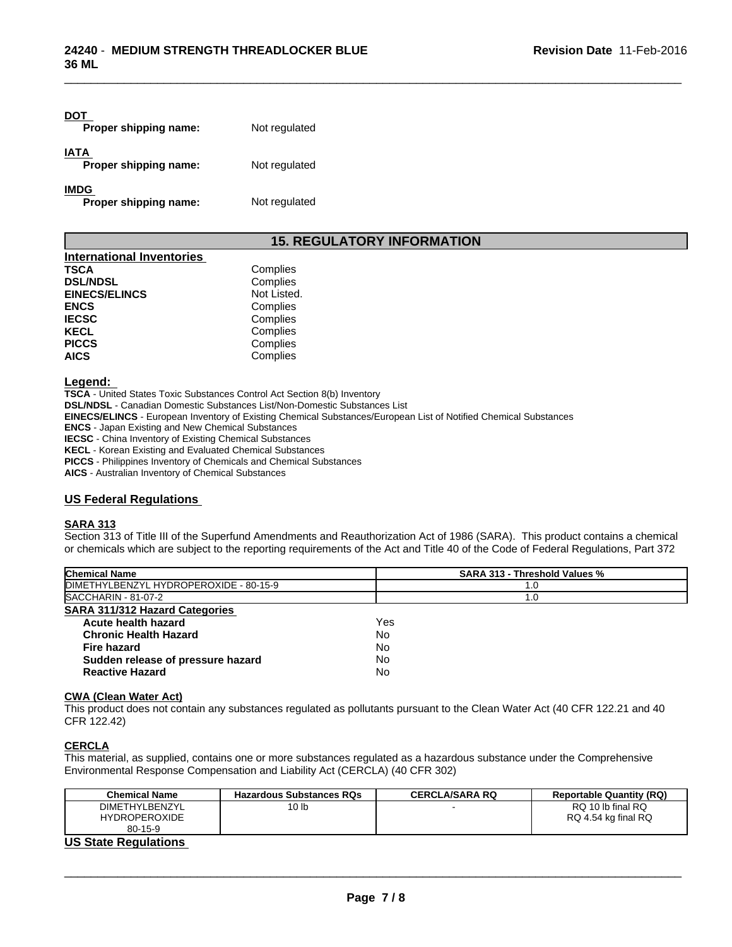| DOT<br>Proper shipping name:         | Not regulated |
|--------------------------------------|---------------|
| <b>IATA</b><br>Proper shipping name: | Not regulated |
| <b>IMDG</b><br>Proper shipping name: | Not regulated |

# **15. REGULATORY INFORMATION**

| <b>International Inventories</b> |             |  |
|----------------------------------|-------------|--|
| TSCA                             | Complies    |  |
| <b>DSL/NDSL</b>                  | Complies    |  |
| <b>EINECS/ELINCS</b>             | Not Listed. |  |
| <b>ENCS</b>                      | Complies    |  |
| <b>IECSC</b>                     | Complies    |  |
| KECL                             | Complies    |  |
| <b>PICCS</b>                     | Complies    |  |
| AICS                             | Complies    |  |

#### **Legend:**

**TSCA** - United States Toxic Substances Control Act Section 8(b) Inventory

**DSL/NDSL** - Canadian Domestic Substances List/Non-Domestic Substances List

**EINECS/ELINCS** - European Inventory of Existing Chemical Substances/European List of Notified Chemical Substances

**ENCS** - Japan Existing and New Chemical Substances

**IECSC** - China Inventory of Existing Chemical Substances

**KECL** - Korean Existing and Evaluated Chemical Substances

**PICCS** - Philippines Inventory of Chemicals and Chemical Substances

**AICS** - Australian Inventory of Chemical Substances

## **US Federal Regulations**

## **SARA 313**

Section 313 of Title III of the Superfund Amendments and Reauthorization Act of 1986 (SARA). This product contains a chemical or chemicals which are subject to the reporting requirements of the Act and Title 40 of the Code of Federal Regulations, Part 372

| <b>Chemical Name</b>                   | <b>SARA 313 - Threshold Values %</b> |
|----------------------------------------|--------------------------------------|
| DIMETHYLBENZYL HYDROPEROXIDE - 80-15-9 | 1.0                                  |
| SACCHARIN - 81-07-2                    | 1.0                                  |
| <b>SARA 311/312 Hazard Categories</b>  |                                      |
| Acute health hazard                    | Yes                                  |
| <b>Chronic Health Hazard</b>           | No                                   |
| Fire hazard                            | No                                   |
| Sudden release of pressure hazard      | No                                   |
| <b>Reactive Hazard</b>                 | No                                   |
|                                        |                                      |

#### **CWA** (Clean Water Act)

This product does not contain any substances regulated as pollutants pursuant to the Clean Water Act (40 CFR 122.21 and 40 CFR 122.42)

# **CERCLA**

This material, as supplied, contains one or more substances regulated as a hazardous substance under the Comprehensive Environmental Response Compensation and Liability Act (CERCLA) (40 CFR 302)

| <b>Chemical Name</b>         | <b>Hazardous Substances RQs</b> | <b>CERCLA/SARA RQ</b> | <b>Reportable Quantity (RQ)</b> |
|------------------------------|---------------------------------|-----------------------|---------------------------------|
| <b>DIMETHYLBENZYL</b>        | 10 <sub>lb</sub>                |                       | RQ 10 lb final RQ               |
| <b>HYDROPEROXIDE</b>         |                                 |                       | RQ 4.54 kg final RQ             |
| $80 - 15 - 9$                |                                 |                       |                                 |
| <b>HO Office Beautifulne</b> |                                 |                       |                                 |

#### **US State Regulations**